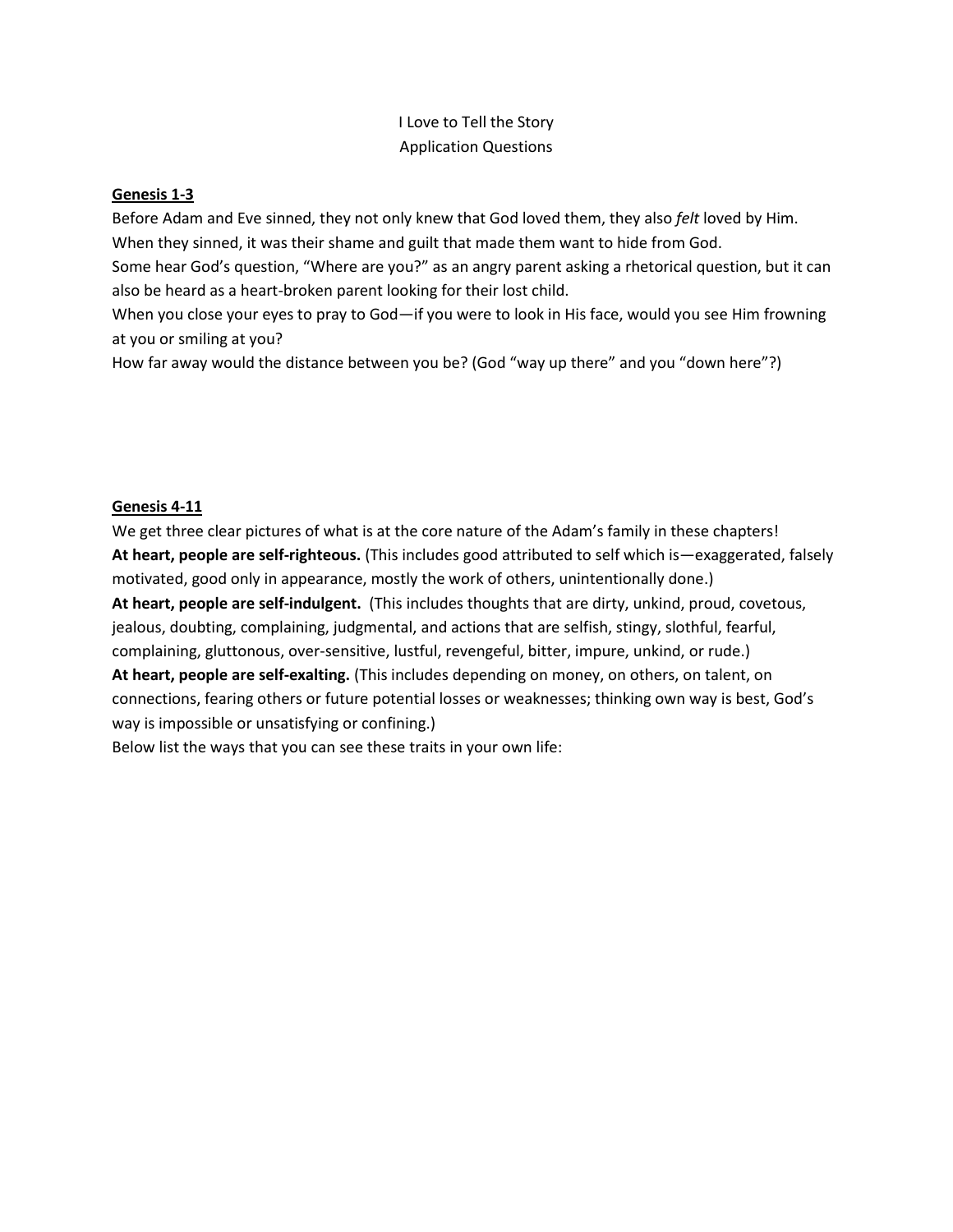## I Love to Tell the Story Application Questions

## **Genesis 1-3**

Before Adam and Eve sinned, they not only knew that God loved them, they also *felt* loved by Him. When they sinned, it was their shame and guilt that made them want to hide from God.

Some hear God's question, "Where are you?" as an angry parent asking a rhetorical question, but it can also be heard as a heart-broken parent looking for their lost child.

When you close your eyes to pray to God—if you were to look in His face, would you see Him frowning at you or smiling at you?

How far away would the distance between you be? (God "way up there" and you "down here"?)

## **Genesis 4-11**

We get three clear pictures of what is at the core nature of the Adam's family in these chapters! **At heart, people are self-righteous.** (This includes good attributed to self which is—exaggerated, falsely motivated, good only in appearance, mostly the work of others, unintentionally done.) **At heart, people are self-indulgent.** (This includes thoughts that are dirty, unkind, proud, covetous, jealous, doubting, complaining, judgmental, and actions that are selfish, stingy, slothful, fearful, complaining, gluttonous, over-sensitive, lustful, revengeful, bitter, impure, unkind, or rude.) **At heart, people are self-exalting.** (This includes depending on money, on others, on talent, on connections, fearing others or future potential losses or weaknesses; thinking own way is best, God's way is impossible or unsatisfying or confining.)

Below list the ways that you can see these traits in your own life: